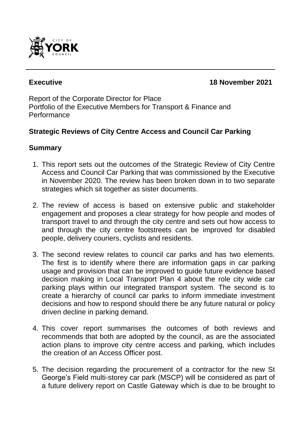

# **Executive 18 November 2021**

Report of the Corporate Director for Place Portfolio of the Executive Members for Transport & Finance and **Performance** 

# **Strategic Reviews of City Centre Access and Council Car Parking**

#### **Summary**

- 1. This report sets out the outcomes of the Strategic Review of City Centre Access and Council Car Parking that was commissioned by the Executive in November 2020. The review has been broken down in to two separate strategies which sit together as sister documents.
- 2. The review of access is based on extensive public and stakeholder engagement and proposes a clear strategy for how people and modes of transport travel to and through the city centre and sets out how access to and through the city centre footstreets can be improved for disabled people, delivery couriers, cyclists and residents.
- 3. The second review relates to council car parks and has two elements. The first is to identify where there are information gaps in car parking usage and provision that can be improved to guide future evidence based decision making in Local Transport Plan 4 about the role city wide car parking plays within our integrated transport system. The second is to create a hierarchy of council car parks to inform immediate investment decisions and how to respond should there be any future natural or policy driven decline in parking demand.
- 4. This cover report summarises the outcomes of both reviews and recommends that both are adopted by the council, as are the associated action plans to improve city centre access and parking, which includes the creation of an Access Officer post.
- 5. The decision regarding the procurement of a contractor for the new St George's Field multi-storey car park (MSCP) will be considered as part of a future delivery report on Castle Gateway which is due to be brought to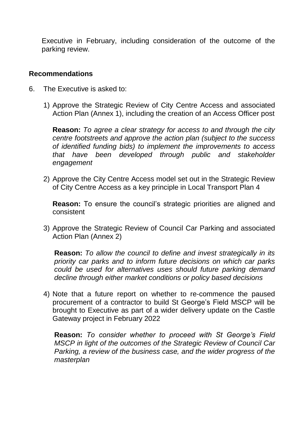Executive in February, including consideration of the outcome of the parking review.

#### **Recommendations**

- 6. The Executive is asked to:
	- 1) Approve the Strategic Review of City Centre Access and associated Action Plan (Annex 1), including the creation of an Access Officer post

**Reason:** *To agree a clear strategy for access to and through the city centre footstreets and approve the action plan (subject to the success of identified funding bids) to implement the improvements to access that have been developed through public and stakeholder engagement*

2) Approve the City Centre Access model set out in the Strategic Review of City Centre Access as a key principle in Local Transport Plan 4

**Reason:** To ensure the council's strategic priorities are aligned and consistent

3) Approve the Strategic Review of Council Car Parking and associated Action Plan (Annex 2)

**Reason:** *To allow the council to define and invest strategically in its priority car parks and to inform future decisions on which car parks could be used for alternatives uses should future parking demand decline through either market conditions or policy based decisions* 

4) Note that a future report on whether to re-commence the paused procurement of a contractor to build St George's Field MSCP will be brought to Executive as part of a wider delivery update on the Castle Gateway project in February 2022

**Reason:** *To consider whether to proceed with St George's Field MSCP in light of the outcomes of the Strategic Review of Council Car Parking, a review of the business case, and the wider progress of the masterplan*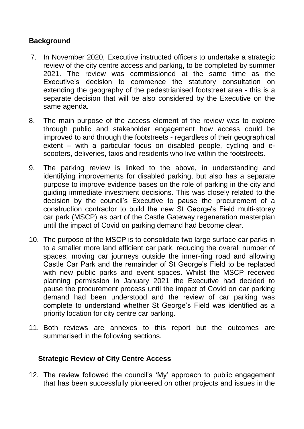# **Background**

- 7. In November 2020, Executive instructed officers to undertake a strategic review of the city centre access and parking, to be completed by summer 2021. The review was commissioned at the same time as the Executive's decision to commence the statutory consultation on extending the geography of the pedestrianised footstreet area - this is a separate decision that will be also considered by the Executive on the same agenda.
- 8. The main purpose of the access element of the review was to explore through public and stakeholder engagement how access could be improved to and through the footstreets - regardless of their geographical extent – with a particular focus on disabled people, cycling and escooters, deliveries, taxis and residents who live within the footstreets.
- 9. The parking review is linked to the above, in understanding and identifying improvements for disabled parking, but also has a separate purpose to improve evidence bases on the role of parking in the city and guiding immediate investment decisions. This was closely related to the decision by the council's Executive to pause the procurement of a construction contractor to build the new St George's Field multi-storey car park (MSCP) as part of the Castle Gateway regeneration masterplan until the impact of Covid on parking demand had become clear.
- 10. The purpose of the MSCP is to consolidate two large surface car parks in to a smaller more land efficient car park, reducing the overall number of spaces, moving car journeys outside the inner-ring road and allowing Castle Car Park and the remainder of St George's Field to be replaced with new public parks and event spaces. Whilst the MSCP received planning permission in January 2021 the Executive had decided to pause the procurement process until the impact of Covid on car parking demand had been understood and the review of car parking was complete to understand whether St George's Field was identified as a priority location for city centre car parking.
- 11. Both reviews are annexes to this report but the outcomes are summarised in the following sections.

## **Strategic Review of City Centre Access**

12. The review followed the council's 'My' approach to public engagement that has been successfully pioneered on other projects and issues in the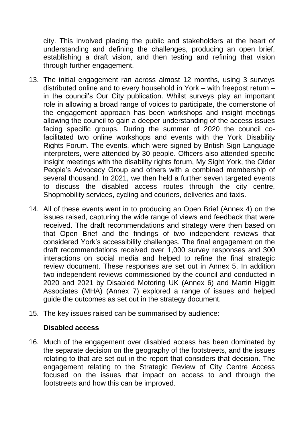city. This involved placing the public and stakeholders at the heart of understanding and defining the challenges, producing an open brief, establishing a draft vision, and then testing and refining that vision through further engagement.

- 13. The initial engagement ran across almost 12 months, using 3 surveys distributed online and to every household in York – with freepost return – in the council's Our City publication. Whilst surveys play an important role in allowing a broad range of voices to participate, the cornerstone of the engagement approach has been workshops and insight meetings allowing the council to gain a deeper understanding of the access issues facing specific groups. During the summer of 2020 the council cofacilitated two online workshops and events with the York Disability Rights Forum. The events, which were signed by British Sign Language interpreters, were attended by 30 people. Officers also attended specific insight meetings with the disability rights forum, My Sight York, the Older People's Advocacy Group and others with a combined membership of several thousand. In 2021, we then held a further seven targeted events to discuss the disabled access routes through the city centre, Shopmobility services, cycling and couriers, deliveries and taxis.
- 14. All of these events went in to producing an Open Brief (Annex 4) on the issues raised, capturing the wide range of views and feedback that were received. The draft recommendations and strategy were then based on that Open Brief and the findings of two independent reviews that considered York's accessibility challenges. The final engagement on the draft recommendations received over 1,000 survey responses and 300 interactions on social media and helped to refine the final strategic review document. These responses are set out in Annex 5. In addition two independent reviews commissioned by the council and conducted in 2020 and 2021 by Disabled Motoring UK (Annex 6) and Martin Higgitt Associates (MHA) (Annex 7) explored a range of issues and helped guide the outcomes as set out in the strategy document.
- 15. The key issues raised can be summarised by audience:

#### **Disabled access**

16. Much of the engagement over disabled access has been dominated by the separate decision on the geography of the footstreets, and the issues relating to that are set out in the report that considers that decision. The engagement relating to the Strategic Review of City Centre Access focused on the issues that impact on access to and through the footstreets and how this can be improved.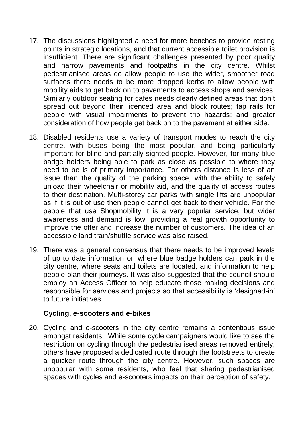- 17. The discussions highlighted a need for more benches to provide resting points in strategic locations, and that current accessible toilet provision is insufficient. There are significant challenges presented by poor quality and narrow pavements and footpaths in the city centre. Whilst pedestrianised areas do allow people to use the wider, smoother road surfaces there needs to be more dropped kerbs to allow people with mobility aids to get back on to pavements to access shops and services. Similarly outdoor seating for cafes needs clearly defined areas that don't spread out beyond their licenced area and block routes; tap rails for people with visual impairments to prevent trip hazards; and greater consideration of how people get back on to the pavement at either side.
- 18. Disabled residents use a variety of transport modes to reach the city centre, with buses being the most popular, and being particularly important for blind and partially sighted people. However, for many blue badge holders being able to park as close as possible to where they need to be is of primary importance. For others distance is less of an issue than the quality of the parking space, with the ability to safely unload their wheelchair or mobility aid, and the quality of access routes to their destination. Multi-storey car parks with single lifts are unpopular as if it is out of use then people cannot get back to their vehicle. For the people that use Shopmobility it is a very popular service, but wider awareness and demand is low, providing a real growth opportunity to improve the offer and increase the number of customers. The idea of an accessible land train/shuttle service was also raised.
- 19. There was a general consensus that there needs to be improved levels of up to date information on where blue badge holders can park in the city centre, where seats and toilets are located, and information to help people plan their journeys. It was also suggested that the council should employ an Access Officer to help educate those making decisions and responsible for services and projects so that accessibility is 'designed-in' to future initiatives.

#### **Cycling, e-scooters and e-bikes**

20. Cycling and e-scooters in the city centre remains a contentious issue amongst residents. While some cycle campaigners would like to see the restriction on cycling through the pedestrianised areas removed entirely, others have proposed a dedicated route through the footstreets to create a quicker route through the city centre. However, such spaces are unpopular with some residents, who feel that sharing pedestrianised spaces with cycles and e-scooters impacts on their perception of safety.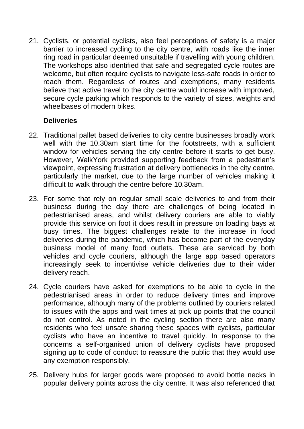21. Cyclists, or potential cyclists, also feel perceptions of safety is a major barrier to increased cycling to the city centre, with roads like the inner ring road in particular deemed unsuitable if travelling with young children. The workshops also identified that safe and segregated cycle routes are welcome, but often require cyclists to navigate less-safe roads in order to reach them. Regardless of routes and exemptions, many residents believe that active travel to the city centre would increase with improved, secure cycle parking which responds to the variety of sizes, weights and wheelbases of modern bikes

# **Deliveries**

- 22. Traditional pallet based deliveries to city centre businesses broadly work well with the 10.30am start time for the footstreets, with a sufficient window for vehicles serving the city centre before it starts to get busy. However, WalkYork provided supporting feedback from a pedestrian's viewpoint, expressing frustration at delivery bottlenecks in the city centre, particularly the market, due to the large number of vehicles making it difficult to walk through the centre before 10.30am.
- 23. For some that rely on regular small scale deliveries to and from their business during the day there are challenges of being located in pedestrianised areas, and whilst delivery couriers are able to viably provide this service on foot it does result in pressure on loading bays at busy times. The biggest challenges relate to the increase in food deliveries during the pandemic, which has become part of the everyday business model of many food outlets. These are serviced by both vehicles and cycle couriers, although the large app based operators increasingly seek to incentivise vehicle deliveries due to their wider delivery reach.
- 24. Cycle couriers have asked for exemptions to be able to cycle in the pedestrianised areas in order to reduce delivery times and improve performance, although many of the problems outlined by couriers related to issues with the apps and wait times at pick up points that the council do not control. As noted in the cycling section there are also many residents who feel unsafe sharing these spaces with cyclists, particular cyclists who have an incentive to travel quickly. In response to the concerns a self-organised union of delivery cyclists have proposed signing up to code of conduct to reassure the public that they would use any exemption responsibly.
- 25. Delivery hubs for larger goods were proposed to avoid bottle necks in popular delivery points across the city centre. It was also referenced that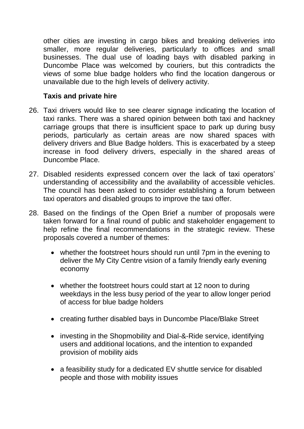other cities are investing in cargo bikes and breaking deliveries into smaller, more regular deliveries, particularly to offices and small businesses. The dual use of loading bays with disabled parking in Duncombe Place was welcomed by couriers, but this contradicts the views of some blue badge holders who find the location dangerous or unavailable due to the high levels of delivery activity.

# **Taxis and private hire**

- 26. Taxi drivers would like to see clearer signage indicating the location of taxi ranks. There was a shared opinion between both taxi and hackney carriage groups that there is insufficient space to park up during busy periods, particularly as certain areas are now shared spaces with delivery drivers and Blue Badge holders. This is exacerbated by a steep increase in food delivery drivers, especially in the shared areas of Duncombe Place.
- 27. Disabled residents expressed concern over the lack of taxi operators' understanding of accessibility and the availability of accessible vehicles. The council has been asked to consider establishing a forum between taxi operators and disabled groups to improve the taxi offer.
- 28. Based on the findings of the Open Brief a number of proposals were taken forward for a final round of public and stakeholder engagement to help refine the final recommendations in the strategic review. These proposals covered a number of themes:
	- whether the footstreet hours should run until 7pm in the evening to deliver the My City Centre vision of a family friendly early evening economy
	- whether the footstreet hours could start at 12 noon to during weekdays in the less busy period of the year to allow longer period of access for blue badge holders
	- creating further disabled bays in Duncombe Place/Blake Street
	- investing in the Shopmobility and Dial-&-Ride service, identifying users and additional locations, and the intention to expanded provision of mobility aids
	- a feasibility study for a dedicated EV shuttle service for disabled people and those with mobility issues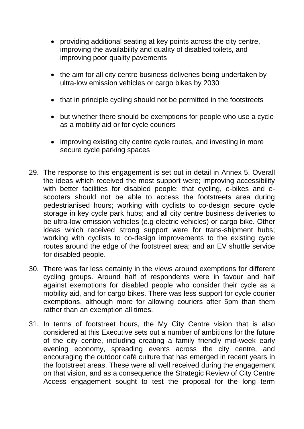- providing additional seating at key points across the city centre, improving the availability and quality of disabled toilets, and improving poor quality pavements
- the aim for all city centre business deliveries being undertaken by ultra-low emission vehicles or cargo bikes by 2030
- that in principle cycling should not be permitted in the footstreets
- but whether there should be exemptions for people who use a cycle as a mobility aid or for cycle couriers
- improving existing city centre cycle routes, and investing in more secure cycle parking spaces
- 29. The response to this engagement is set out in detail in Annex 5. Overall the ideas which received the most support were; improving accessibility with better facilities for disabled people; that cycling, e-bikes and escooters should not be able to access the footstreets area during pedestrianised hours; working with cyclists to co-design secure cycle storage in key cycle park hubs; and all city centre business deliveries to be ultra-low emission vehicles (e.g electric vehicles) or cargo bike. Other ideas which received strong support were for trans-shipment hubs; working with cyclists to co-design improvements to the existing cycle routes around the edge of the footstreet area; and an EV shuttle service for disabled people.
- 30. There was far less certainty in the views around exemptions for different cycling groups. Around half of respondents were in favour and half against exemptions for disabled people who consider their cycle as a mobility aid, and for cargo bikes. There was less support for cycle courier exemptions, although more for allowing couriers after 5pm than them rather than an exemption all times.
- 31. In terms of footstreet hours, the My City Centre vision that is also considered at this Executive sets out a number of ambitions for the future of the city centre, including creating a family friendly mid-week early evening economy, spreading events across the city centre, and encouraging the outdoor café culture that has emerged in recent years in the footstreet areas. These were all well received during the engagement on that vision, and as a consequence the Strategic Review of City Centre Access engagement sought to test the proposal for the long term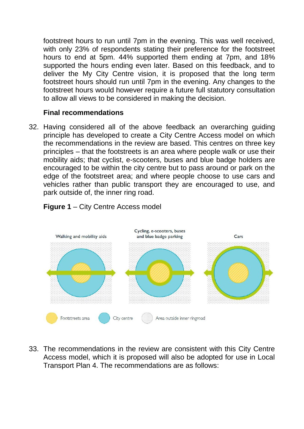footstreet hours to run until 7pm in the evening. This was well received, with only 23% of respondents stating their preference for the footstreet hours to end at 5pm. 44% supported them ending at 7pm, and 18% supported the hours ending even later. Based on this feedback, and to deliver the My City Centre vision, it is proposed that the long term footstreet hours should run until 7pm in the evening. Any changes to the footstreet hours would however require a future full statutory consultation to allow all views to be considered in making the decision.

## **Final recommendations**

32. Having considered all of the above feedback an overarching guiding principle has developed to create a City Centre Access model on which the recommendations in the review are based. This centres on three key principles – that the footstreets is an area where people walk or use their mobility aids; that cyclist, e-scooters, buses and blue badge holders are encouraged to be within the city centre but to pass around or park on the edge of the footstreet area; and where people choose to use cars and vehicles rather than public transport they are encouraged to use, and park outside of, the inner ring road.



# **Figure 1** – City Centre Access model

33. The recommendations in the review are consistent with this City Centre Access model, which it is proposed will also be adopted for use in Local Transport Plan 4. The recommendations are as follows: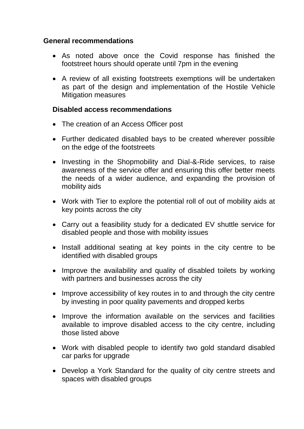#### **General recommendations**

- As noted above once the Covid response has finished the footstreet hours should operate until 7pm in the evening
- A review of all existing footstreets exemptions will be undertaken as part of the design and implementation of the Hostile Vehicle Mitigation measures

#### **Disabled access recommendations**

- The creation of an Access Officer post
- Further dedicated disabled bays to be created wherever possible on the edge of the footstreets
- Investing in the Shopmobility and Dial-&-Ride services, to raise awareness of the service offer and ensuring this offer better meets the needs of a wider audience, and expanding the provision of mobility aids
- Work with Tier to explore the potential roll of out of mobility aids at key points across the city
- Carry out a feasibility study for a dedicated EV shuttle service for disabled people and those with mobility issues
- Install additional seating at key points in the city centre to be identified with disabled groups
- Improve the availability and quality of disabled toilets by working with partners and businesses across the city
- Improve accessibility of key routes in to and through the city centre by investing in poor quality pavements and dropped kerbs
- Improve the information available on the services and facilities available to improve disabled access to the city centre, including those listed above
- Work with disabled people to identify two gold standard disabled car parks for upgrade
- Develop a York Standard for the quality of city centre streets and spaces with disabled groups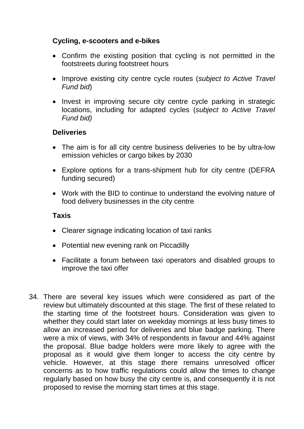# **Cycling, e-scooters and e-bikes**

- Confirm the existing position that cycling is not permitted in the footstreets during footstreet hours
- Improve existing city centre cycle routes (*subject to Active Travel Fund bid*)
- Invest in improving secure city centre cycle parking in strategic locations, including for adapted cycles (*subject to Active Travel Fund bid)*

# **Deliveries**

- The aim is for all city centre business deliveries to be by ultra-low emission vehicles or cargo bikes by 2030
- Explore options for a trans-shipment hub for city centre (DEFRA funding secured)
- Work with the BID to continue to understand the evolving nature of food delivery businesses in the city centre

## **Taxis**

- Clearer signage indicating location of taxi ranks
- Potential new evening rank on Piccadilly
- Facilitate a forum between taxi operators and disabled groups to improve the taxi offer
- 34. There are several key issues which were considered as part of the review but ultimately discounted at this stage. The first of these related to the starting time of the footstreet hours. Consideration was given to whether they could start later on weekday mornings at less busy times to allow an increased period for deliveries and blue badge parking. There were a mix of views, with 34% of respondents in favour and 44% against the proposal. Blue badge holders were more likely to agree with the proposal as it would give them longer to access the city centre by vehicle. However, at this stage there remains unresolved officer concerns as to how traffic regulations could allow the times to change regularly based on how busy the city centre is, and consequently it is not proposed to revise the morning start times at this stage.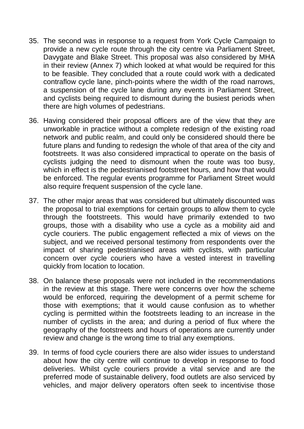- 35. The second was in response to a request from York Cycle Campaign to provide a new cycle route through the city centre via Parliament Street, Davygate and Blake Street. This proposal was also considered by MHA in their review (Annex 7) which looked at what would be required for this to be feasible. They concluded that a route could work with a dedicated contraflow cycle lane, pinch-points where the width of the road narrows, a suspension of the cycle lane during any events in Parliament Street, and cyclists being required to dismount during the busiest periods when there are high volumes of pedestrians.
- 36. Having considered their proposal officers are of the view that they are unworkable in practice without a complete redesign of the existing road network and public realm, and could only be considered should there be future plans and funding to redesign the whole of that area of the city and footstreets. It was also considered impractical to operate on the basis of cyclists judging the need to dismount when the route was too busy, which in effect is the pedestrianised footstreet hours, and how that would be enforced. The regular events programme for Parliament Street would also require frequent suspension of the cycle lane.
- 37. The other major areas that was considered but ultimately discounted was the proposal to trial exemptions for certain groups to allow them to cycle through the footstreets. This would have primarily extended to two groups, those with a disability who use a cycle as a mobility aid and cycle couriers. The public engagement reflected a mix of views on the subject, and we received personal testimony from respondents over the impact of sharing pedestrianised areas with cyclists, with particular concern over cycle couriers who have a vested interest in travelling quickly from location to location.
- 38. On balance these proposals were not included in the recommendations in the review at this stage. There were concerns over how the scheme would be enforced, requiring the development of a permit scheme for those with exemptions; that it would cause confusion as to whether cycling is permitted within the footstreets leading to an increase in the number of cyclists in the area; and during a period of flux where the geography of the footstreets and hours of operations are currently under review and change is the wrong time to trial any exemptions.
- 39. In terms of food cycle couriers there are also wider issues to understand about how the city centre will continue to develop in response to food deliveries. Whilst cycle couriers provide a vital service and are the preferred mode of sustainable delivery, food outlets are also serviced by vehicles, and major delivery operators often seek to incentivise those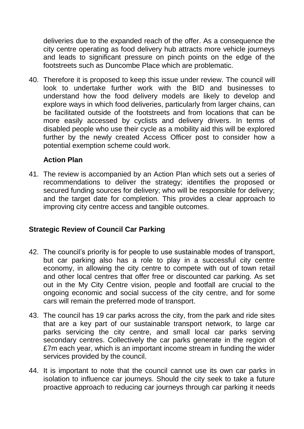deliveries due to the expanded reach of the offer. As a consequence the city centre operating as food delivery hub attracts more vehicle journeys and leads to significant pressure on pinch points on the edge of the footstreets such as Duncombe Place which are problematic.

40. Therefore it is proposed to keep this issue under review. The council will look to undertake further work with the BID and businesses to understand how the food delivery models are likely to develop and explore ways in which food deliveries, particularly from larger chains, can be facilitated outside of the footstreets and from locations that can be more easily accessed by cyclists and delivery drivers. In terms of disabled people who use their cycle as a mobility aid this will be explored further by the newly created Access Officer post to consider how a potential exemption scheme could work.

# **Action Plan**

41. The review is accompanied by an Action Plan which sets out a series of recommendations to deliver the strategy; identifies the proposed or secured funding sources for delivery; who will be responsible for delivery; and the target date for completion. This provides a clear approach to improving city centre access and tangible outcomes.

## **Strategic Review of Council Car Parking**

- 42. The council's priority is for people to use sustainable modes of transport, but car parking also has a role to play in a successful city centre economy, in allowing the city centre to compete with out of town retail and other local centres that offer free or discounted car parking. As set out in the My City Centre vision, people and footfall are crucial to the ongoing economic and social success of the city centre, and for some cars will remain the preferred mode of transport.
- 43. The council has 19 car parks across the city, from the park and ride sites that are a key part of our sustainable transport network, to large car parks servicing the city centre, and small local car parks serving secondary centres. Collectively the car parks generate in the region of £7m each year, which is an important income stream in funding the wider services provided by the council.
- 44. It is important to note that the council cannot use its own car parks in isolation to influence car journeys. Should the city seek to take a future proactive approach to reducing car journeys through car parking it needs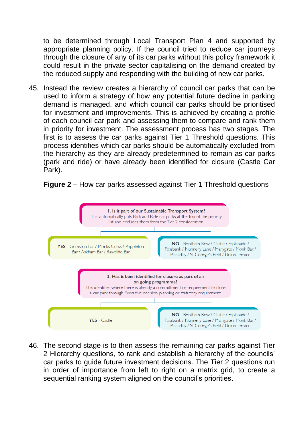to be determined through Local Transport Plan 4 and supported by appropriate planning policy. If the council tried to reduce car journeys through the closure of any of its car parks without this policy framework it could result in the private sector capitalising on the demand created by the reduced supply and responding with the building of new car parks.

45. Instead the review creates a hierarchy of council car parks that can be used to inform a strategy of how any potential future decline in parking demand is managed, and which council car parks should be prioritised for investment and improvements. This is achieved by creating a profile of each council car park and assessing them to compare and rank them in priority for investment. The assessment process has two stages. The first is to assess the car parks against Tier 1 Threshold questions. This process identifies which car parks should be automatically excluded from the hierarchy as they are already predetermined to remain as car parks (park and ride) or have already been identified for closure (Castle Car Park).





46. The second stage is to then assess the remaining car parks against Tier 2 Hierarchy questions, to rank and establish a hierarchy of the councils' car parks to guide future investment decisions. The Tier 2 questions run in order of importance from left to right on a matrix grid, to create a sequential ranking system aligned on the council's priorities.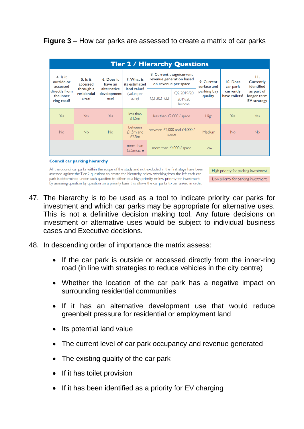# **Figure 3** – How car parks are assessed to create a matrix of car parks

| <b>Tier 2 / Hierarchy Questions</b>                                              |                                                             |                                                             |                                                                   |                                                                              |                                             |                           |                            |                                                 |  |  |  |  |
|----------------------------------------------------------------------------------|-------------------------------------------------------------|-------------------------------------------------------------|-------------------------------------------------------------------|------------------------------------------------------------------------------|---------------------------------------------|---------------------------|----------------------------|-------------------------------------------------|--|--|--|--|
| $4.$ Is it<br>outside or<br>accessed<br>directly from<br>the inner<br>ring road? | $5.$ Is it<br>accessed<br>through a<br>residential<br>area? | 6. Does it<br>have an<br>alternative<br>development<br>use? | 7. What is<br>its estimated<br>land value?<br>(value per<br>acre) | 8. Current usage/current<br>revenue generation based<br>on revenue per space |                                             | 9. Current<br>surface and | 10. Does<br>car park       | H.<br>Currently<br>identified                   |  |  |  |  |
|                                                                                  |                                                             |                                                             |                                                                   | Q2 2021/22                                                                   | O <sub>2</sub> 2019/20<br>2019/20<br>Income | parking bay<br>quality    | currently<br>have toilets? | as part of<br>longer term<br><b>EV</b> strategy |  |  |  |  |
| Yes                                                                              | Yes                                                         | <b>Yes</b>                                                  | less than<br>f1.5m                                                | less than $E2,000$ / space                                                   |                                             | <b>High</b>               | Yes                        | Yes                                             |  |  |  |  |
| <b>No</b>                                                                        | <b>No</b>                                                   | <b>No</b>                                                   | between<br>$£1.5m$ and<br>£2.5m                                   | between $E2,000$ and $E4,000$ /<br>space                                     |                                             | Medium                    | <b>No</b>                  | <b>No</b>                                       |  |  |  |  |
|                                                                                  |                                                             |                                                             | more than<br>f2.5m/acre                                           | more than £4000 / space                                                      |                                             | $\log$                    |                            |                                                 |  |  |  |  |

#### **Council car parking hierarchy**

All the council car parks within the scope of the study and not excluded in the first stage have been assessed against the Tier 2 questions to create the hierarchy below. Working from the left each car park is determined under each question to either be a high priority or low priority for investment. By assessing question by question on a priority basis this allows the car parks to be ranked in order.

High priority for parking investment Low priority for parking investment

- 47. The hierarchy is to be used as a tool to indicate priority car parks for investment and which car parks may be appropriate for alternative uses. This is not a definitive decision making tool. Any future decisions on investment or alternative uses would be subject to individual business cases and Executive decisions.
- 48. In descending order of importance the matrix assess:
	- If the car park is outside or accessed directly from the inner-ring road (in line with strategies to reduce vehicles in the city centre)
	- Whether the location of the car park has a negative impact on surrounding residential communities
	- If it has an alternative development use that would reduce greenbelt pressure for residential or employment land
	- Its potential land value
	- The current level of car park occupancy and revenue generated
	- The existing quality of the car park
	- If it has toilet provision
	- If it has been identified as a priority for EV charging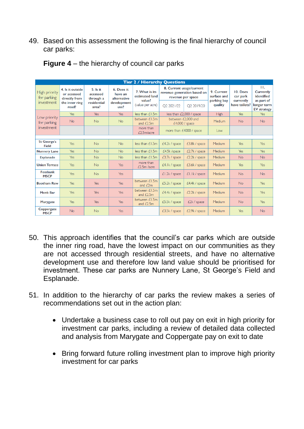## 49. Based on this assessment the following is the final hierarchy of council car parks:

| <b>Tier 2 / Hierarchy Questions</b>        |                                                                             |                                                             |                                                             |                                                                |                                                                                                                                  |                          |                                                     |                                                    |                                                                                         |  |  |  |
|--------------------------------------------|-----------------------------------------------------------------------------|-------------------------------------------------------------|-------------------------------------------------------------|----------------------------------------------------------------|----------------------------------------------------------------------------------------------------------------------------------|--------------------------|-----------------------------------------------------|----------------------------------------------------|-----------------------------------------------------------------------------------------|--|--|--|
| High priority<br>for parking<br>investment | 4. Is it outside<br>or accessed<br>directly from<br>the inner ring<br>road? | $5.$ Is it<br>accessed<br>through a<br>residential<br>area? | 6. Does it<br>have an<br>alternative<br>development<br>use? | 7. What is its<br>estimated land<br>value?<br>(value per acre) | 8. Current usage/current<br>revenue generation based on<br>revenue per space<br>O <sub>2</sub> 2021/22<br>O <sub>2</sub> 2019/20 |                          | 9. Current<br>surface and<br>parking bay<br>quality | 10. Does<br>car park<br>currently<br>have toilets? | H.<br><b>Currently</b><br>identified<br>as part of<br>longer term<br><b>EV</b> strategy |  |  |  |
|                                            | Yes                                                                         | Yes                                                         | Yes                                                         | less than $£1.5m$                                              |                                                                                                                                  | less than £2,000 / space | High                                                | Yes                                                | Yes                                                                                     |  |  |  |
| Low priority<br>for parking                | <b>No</b>                                                                   | <b>No</b>                                                   | <b>No</b>                                                   | between £1.5m<br>and $£2.5m$                                   | between $f2,000$ and<br>£4,000 / space<br>more than £4000 / space                                                                |                          | Medium                                              | <b>No</b>                                          | <b>No</b>                                                                               |  |  |  |
| investment                                 |                                                                             |                                                             |                                                             | more than<br>£2.5m/acre                                        |                                                                                                                                  |                          | Low                                                 |                                                    |                                                                                         |  |  |  |
|                                            |                                                                             |                                                             |                                                             |                                                                |                                                                                                                                  |                          |                                                     |                                                    |                                                                                         |  |  |  |
| <b>St George's</b><br><b>Field</b>         | Yes                                                                         | <b>No</b>                                                   | <b>No</b>                                                   | less than $£1.5m$                                              | £4.2k / space                                                                                                                    | £3.8k / space            | Medium                                              | Yes                                                | <b>Yes</b>                                                                              |  |  |  |
| <b>Nunnery Lane</b>                        | Yes                                                                         | <b>No</b>                                                   | <b>No</b>                                                   | less than $£1.5m$                                              | £4.5k /space                                                                                                                     | £2.7k / space            | <b>Medium</b>                                       | Yes                                                | <b>Yes</b>                                                                              |  |  |  |
| <b>Esplanade</b>                           | Yes                                                                         | <b>No</b>                                                   | <b>No</b>                                                   | less than £1.5m                                                | £3.7k / space                                                                                                                    | £2.2k / space            | Medium                                              | <b>No</b>                                          | <b>No</b>                                                                               |  |  |  |
| <b>Union Terrace</b>                       | Yes                                                                         | <b>No</b>                                                   | Yes                                                         | more than<br>£2.5m/acre                                        | £4.1k/space                                                                                                                      | £3.6k / space            | Medium                                              | Yes                                                | Yes                                                                                     |  |  |  |
| <b>Fossbank</b><br><b>MSCP</b>             | Yes                                                                         | <b>No</b>                                                   | Yes                                                         |                                                                | $£1.2k$ / space                                                                                                                  | E1.1k/space              | Medium                                              | <b>No</b>                                          | <b>No</b>                                                                               |  |  |  |
| <b>Bootham Row</b>                         | Yes                                                                         | Yes                                                         | Yes                                                         | between £1.5m<br>and $E2m$                                     | £5.2k / space                                                                                                                    | £4.4k / space            | Medium                                              | <b>No</b>                                          | Yes                                                                                     |  |  |  |
| <b>Monk Bar</b>                            | Yes                                                                         | Yes                                                         | Yes                                                         | between £1.5m<br>and $E2.5m$                                   | £4.4k / space                                                                                                                    | £2.2k / space            | Medium                                              | <b>No</b>                                          | <b>Yes</b>                                                                              |  |  |  |
| <b>Marygate</b>                            | Yes                                                                         | <b>Yes</b>                                                  | Yes                                                         | between £1.5m<br>and $E2.5m$                                   | £5.5k / space                                                                                                                    | £2k / space              | Medium                                              | <b>No</b>                                          | <b>Yes</b>                                                                              |  |  |  |
| Coppergate<br><b>MSCP</b>                  | <b>No</b>                                                                   | <b>No</b>                                                   | Yes                                                         |                                                                | £3.5k / space                                                                                                                    | £2.9k/space              | Medium                                              | Yes                                                | <b>No</b>                                                                               |  |  |  |

**Figure 4** – the hierarchy of council car parks

- 50. This approach identifies that the council's car parks which are outside the inner ring road, have the lowest impact on our communities as they are not accessed through residential streets, and have no alternative development use and therefore low land value should be prioritised for investment. These car parks are Nunnery Lane, St George's Field and Esplanade.
- 51. In addition to the hierarchy of car parks the review makes a series of recommendations set out in the action plan:
	- Undertake a business case to roll out pay on exit in high priority for investment car parks, including a review of detailed data collected and analysis from Marygate and Coppergate pay on exit to date
	- Bring forward future rolling investment plan to improve high priority investment for car parks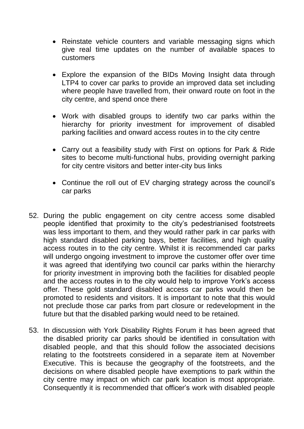- Reinstate vehicle counters and variable messaging signs which give real time updates on the number of available spaces to customers
- Explore the expansion of the BIDs Moving Insight data through LTP4 to cover car parks to provide an improved data set including where people have travelled from, their onward route on foot in the city centre, and spend once there
- Work with disabled groups to identify two car parks within the hierarchy for priority investment for improvement of disabled parking facilities and onward access routes in to the city centre
- Carry out a feasibility study with First on options for Park & Ride sites to become multi-functional hubs, providing overnight parking for city centre visitors and better inter-city bus links
- Continue the roll out of EV charging strategy across the council's car parks
- 52. During the public engagement on city centre access some disabled people identified that proximity to the city's pedestrianised footstreets was less important to them, and they would rather park in car parks with high standard disabled parking bays, better facilities, and high quality access routes in to the city centre. Whilst it is recommended car parks will undergo ongoing investment to improve the customer offer over time it was agreed that identifying two council car parks within the hierarchy for priority investment in improving both the facilities for disabled people and the access routes in to the city would help to improve York's access offer. These gold standard disabled access car parks would then be promoted to residents and visitors. It is important to note that this would not preclude those car parks from part closure or redevelopment in the future but that the disabled parking would need to be retained.
- 53. In discussion with York Disability Rights Forum it has been agreed that the disabled priority car parks should be identified in consultation with disabled people, and that this should follow the associated decisions relating to the footstreets considered in a separate item at November Executive. This is because the geography of the footstreets, and the decisions on where disabled people have exemptions to park within the city centre may impact on which car park location is most appropriate. Consequently it is recommended that officer's work with disabled people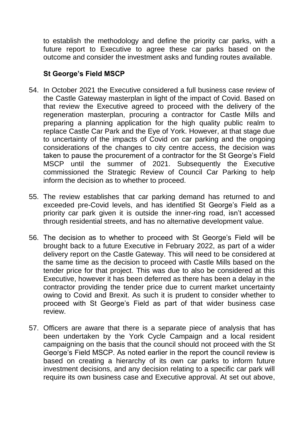to establish the methodology and define the priority car parks, with a future report to Executive to agree these car parks based on the outcome and consider the investment asks and funding routes available.

# **St George's Field MSCP**

- 54. In October 2021 the Executive considered a full business case review of the Castle Gateway masterplan in light of the impact of Covid. Based on that review the Executive agreed to proceed with the delivery of the regeneration masterplan, procuring a contractor for Castle Mills and preparing a planning application for the high quality public realm to replace Castle Car Park and the Eye of York. However, at that stage due to uncertainty of the impacts of Covid on car parking and the ongoing considerations of the changes to city centre access, the decision was taken to pause the procurement of a contractor for the St George's Field MSCP until the summer of 2021. Subsequently the Executive commissioned the Strategic Review of Council Car Parking to help inform the decision as to whether to proceed.
- 55. The review establishes that car parking demand has returned to and exceeded pre-Covid levels, and has identified St George's Field as a priority car park given it is outside the inner-ring road, isn't accessed through residential streets, and has no alternative development value.
- 56. The decision as to whether to proceed with St George's Field will be brought back to a future Executive in February 2022, as part of a wider delivery report on the Castle Gateway. This will need to be considered at the same time as the decision to proceed with Castle Mills based on the tender price for that project. This was due to also be considered at this Executive, however it has been deferred as there has been a delay in the contractor providing the tender price due to current market uncertainty owing to Covid and Brexit. As such it is prudent to consider whether to proceed with St George's Field as part of that wider business case review.
- 57. Officers are aware that there is a separate piece of analysis that has been undertaken by the York Cycle Campaign and a local resident campaigning on the basis that the council should not proceed with the St George's Field MSCP. As noted earlier in the report the council review is based on creating a hierarchy of its own car parks to inform future investment decisions, and any decision relating to a specific car park will require its own business case and Executive approval. At set out above,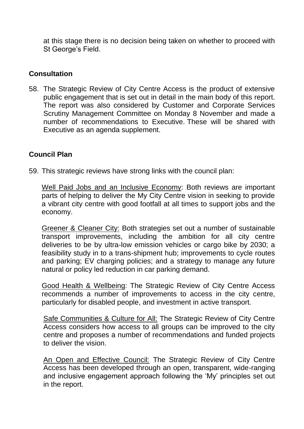at this stage there is no decision being taken on whether to proceed with St George's Field.

# **Consultation**

58. The Strategic Review of City Centre Access is the product of extensive public engagement that is set out in detail in the main body of this report. The report was also considered by Customer and Corporate Services Scrutiny Management Committee on Monday 8 November and made a number of recommendations to Executive. These will be shared with Executive as an agenda supplement.

# **Council Plan**

59. This strategic reviews have strong links with the council plan:

Well Paid Jobs and an Inclusive Economy: Both reviews are important parts of helping to deliver the My City Centre vision in seeking to provide a vibrant city centre with good footfall at all times to support jobs and the economy.

Greener & Cleaner City: Both strategies set out a number of sustainable transport improvements, including the ambition for all city centre deliveries to be by ultra-low emission vehicles or cargo bike by 2030; a feasibility study in to a trans-shipment hub; improvements to cycle routes and parking; EV charging policies; and a strategy to manage any future natural or policy led reduction in car parking demand.

Good Health & Wellbeing: The Strategic Review of City Centre Access recommends a number of improvements to access in the city centre, particularly for disabled people, and investment in active transport.

Safe Communities & Culture for All: The Strategic Review of City Centre Access considers how access to all groups can be improved to the city centre and proposes a number of recommendations and funded projects to deliver the vision.

An Open and Effective Council: The Strategic Review of City Centre Access has been developed through an open, transparent, wide-ranging and inclusive engagement approach following the 'My' principles set out in the report.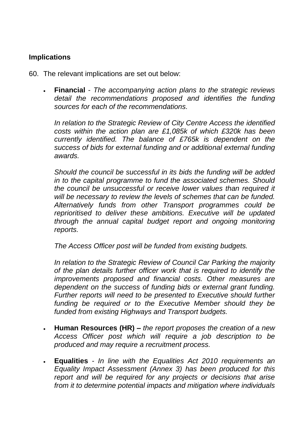# **Implications**

- 60. The relevant implications are set out below:
	- **Financial** *The accompanying action plans to the strategic reviews detail the recommendations proposed and identifies the funding sources for each of the recommendations.*

*In relation to the Strategic Review of City Centre Access the identified costs within the action plan are £1,085k of which £320k has been currently identified. The balance of £765k is dependent on the success of bids for external funding and or additional external funding awards.* 

*Should the council be successful in its bids the funding will be added in to the capital programme to fund the associated schemes. Should the council be unsuccessful or receive lower values than required it will be necessary to review the levels of schemes that can be funded. Alternatively funds from other Transport programmes could be reprioritised to deliver these ambitions. Executive will be updated through the annual capital budget report and ongoing monitoring reports.*

*The Access Officer post will be funded from existing budgets.*

*In relation to the Strategic Review of Council Car Parking the majority of the plan details further officer work that is required to identify the improvements proposed and financial costs. Other measures are dependent on the success of funding bids or external grant funding. Further reports will need to be presented to Executive should further funding be required or to the Executive Member should they be funded from existing Highways and Transport budgets.*

- **Human Resources (HR) –** *the report proposes the creation of a new Access Officer post which will require a job description to be produced and may require a recruitment process.*
- **Equalities** *- In line with the Equalities Act 2010 requirements an Equality Impact Assessment (Annex 3) has been produced for this report and will be required for any projects or decisions that arise from it to determine potential impacts and mitigation where individuals*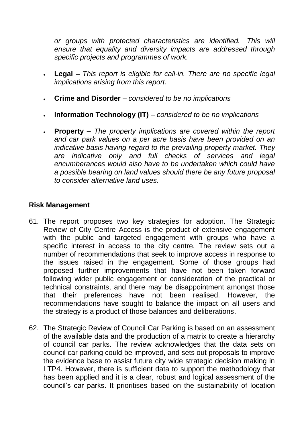*or groups with protected characteristics are identified. This will ensure that equality and diversity impacts are addressed through specific projects and programmes of work.*

- **Legal –** *This report is eligible for call-in. There are no specific legal implications arising from this report.*
- **Crime and Disorder** *– considered to be no implications*
- **Information Technology (IT)** *– considered to be no implications*
- **Property –** *The property implications are covered within the report and car park values on a per acre basis have been provided on an indicative basis having regard to the prevailing property market. They are indicative only and full checks of services and legal encumberances would also have to be undertaken which could have a possible bearing on land values should there be any future proposal to consider alternative land uses.*

## **Risk Management**

- 61. The report proposes two key strategies for adoption. The Strategic Review of City Centre Access is the product of extensive engagement with the public and targeted engagement with groups who have a specific interest in access to the city centre. The review sets out a number of recommendations that seek to improve access in response to the issues raised in the engagement. Some of those groups had proposed further improvements that have not been taken forward following wider public engagement or consideration of the practical or technical constraints, and there may be disappointment amongst those that their preferences have not been realised. However, the recommendations have sought to balance the impact on all users and the strategy is a product of those balances and deliberations.
- 62. The Strategic Review of Council Car Parking is based on an assessment of the available data and the production of a matrix to create a hierarchy of council car parks. The review acknowledges that the data sets on council car parking could be improved, and sets out proposals to improve the evidence base to assist future city wide strategic decision making in LTP4. However, there is sufficient data to support the methodology that has been applied and it is a clear, robust and logical assessment of the council's car parks. It prioritises based on the sustainability of location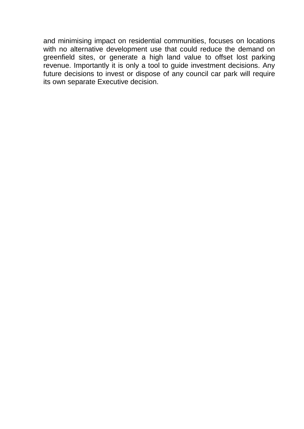and minimising impact on residential communities, focuses on locations with no alternative development use that could reduce the demand on greenfield sites, or generate a high land value to offset lost parking revenue. Importantly it is only a tool to guide investment decisions. Any future decisions to invest or dispose of any council car park will require its own separate Executive decision.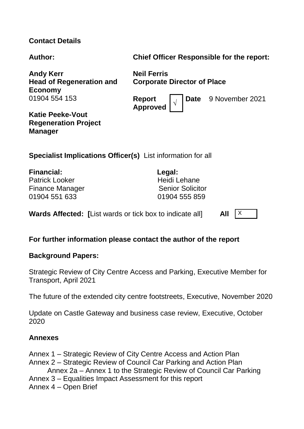# **Contact Details**

**Author: Chief Officer Responsible for the report:**

**Andy Kerr Head of Regeneration and Economy** 01904 554 153

**Neil Ferris Corporate Director of Place**

**Report Approved <sup>√</sup>** **Date** 9 November 2021

**Katie Peeke-Vout Regeneration Project Manager**

**Specialist Implications Officer(s)** List information for all

**Financial: Legal:** Patrick Looker **Heidi** Lehane Finance Manager Senior Senior Solicitor 01904 551 633 01904 555 859

**Wards Affected:** [List wards or tick box to indicate all] **All**  $\begin{bmatrix} X \end{bmatrix}$ 

## **For further information please contact the author of the report**

## **Background Papers:**

Strategic Review of City Centre Access and Parking, Executive Member for Transport, April 2021

The future of the extended city centre footstreets, Executive, November 2020

Update on Castle Gateway and business case review, Executive, October 2020

## **Annexes**

- Annex 1 Strategic Review of City Centre Access and Action Plan
- Annex 2 Strategic Review of Council Car Parking and Action Plan
	- Annex 2a Annex 1 to the Strategic Review of Council Car Parking
- Annex 3 Equalities Impact Assessment for this report
- Annex 4 Open Brief